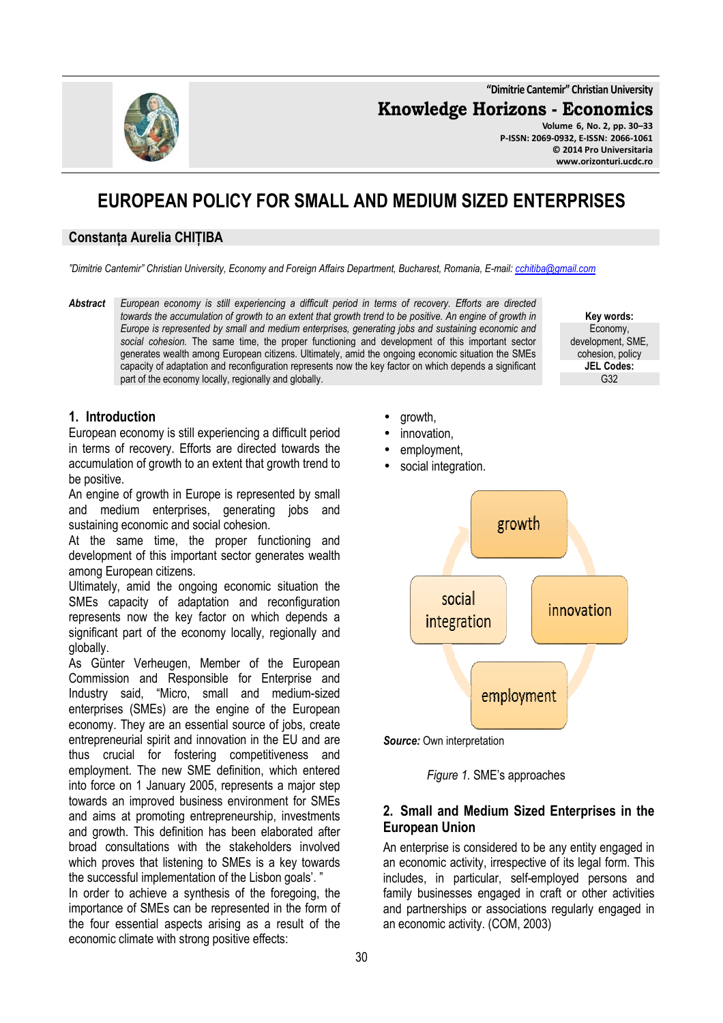**"Dimitrie Cantemir" Christian University**

**Knowledge Horizons - Economics**

**Volume 6, No. 2, pp. 30–33 P-ISSN: 2069-0932, E-ISSN: 2066-1061 © 2014 Pro Universitaria www.orizonturi.ucdc.ro**

# **EUROPEAN POLICY FOR SMALL AND MEDIUM SIZED ENTERPRISES**

#### **Constanța Aurelia CHIȚIBA**

*"Dimitrie Cantemir" Christian University, Economy and Foreign Affairs Department, Bucharest, Romania, E-mail: cchitiba@gmail.com*

*Abstract European economy is still experiencing a difficult period in terms of recovery. Efforts are directed towards the accumulation of growth to an extent that growth trend to be positive. An engine of growth in Europe is represented by small and medium enterprises, generating jobs and sustaining economic and social cohesion.* The same time, the proper functioning and development of this important sector generates wealth among European citizens. Ultimately, amid the ongoing economic situation the SMEs capacity of adaptation and reconfiguration represents now the key factor on which depends a significant part of the economy locally, regionally and globally.

**Key words:**  Economy, development, SME, cohesion, policy **JEL Codes:** G32

### **1. Introduction**

European economy is still experiencing a difficult period in terms of recovery. Efforts are directed towards the accumulation of growth to an extent that growth trend to be positive.

An engine of growth in Europe is represented by small and medium enterprises, generating jobs and sustaining economic and social cohesion.

At the same time, the proper functioning and development of this important sector generates wealth among European citizens.

Ultimately, amid the ongoing economic situation the SMEs capacity of adaptation and reconfiguration represents now the key factor on which depends a significant part of the economy locally, regionally and globally.

As Günter Verheugen, Member of the European Commission and Responsible for Enterprise and Industry said, "Micro, small and medium-sized enterprises (SMEs) are the engine of the European economy. They are an essential source of jobs, create entrepreneurial spirit and innovation in the EU and are thus crucial for fostering competitiveness and employment. The new SME definition, which entered into force on 1 January 2005, represents a major step towards an improved business environment for SMEs and aims at promoting entrepreneurship, investments and growth. This definition has been elaborated after broad consultations with the stakeholders involved which proves that listening to SMEs is a key towards the successful implementation of the Lisbon goals'. "

In order to achieve a synthesis of the foregoing, the importance of SMEs can be represented in the form of the four essential aspects arising as a result of the economic climate with strong positive effects:

- growth,
- innovation.
- employment.
- social integration.



*Source:* Own interpretation

*Figure 1.* SME's approaches

### **2. Small and Medium Sized Enterprises in the European Union**

An enterprise is considered to be any entity engaged in an economic activity, irrespective of its legal form. This includes, in particular, self-employed persons and family businesses engaged in craft or other activities and partnerships or associations regularly engaged in an economic activity. (COM, 2003)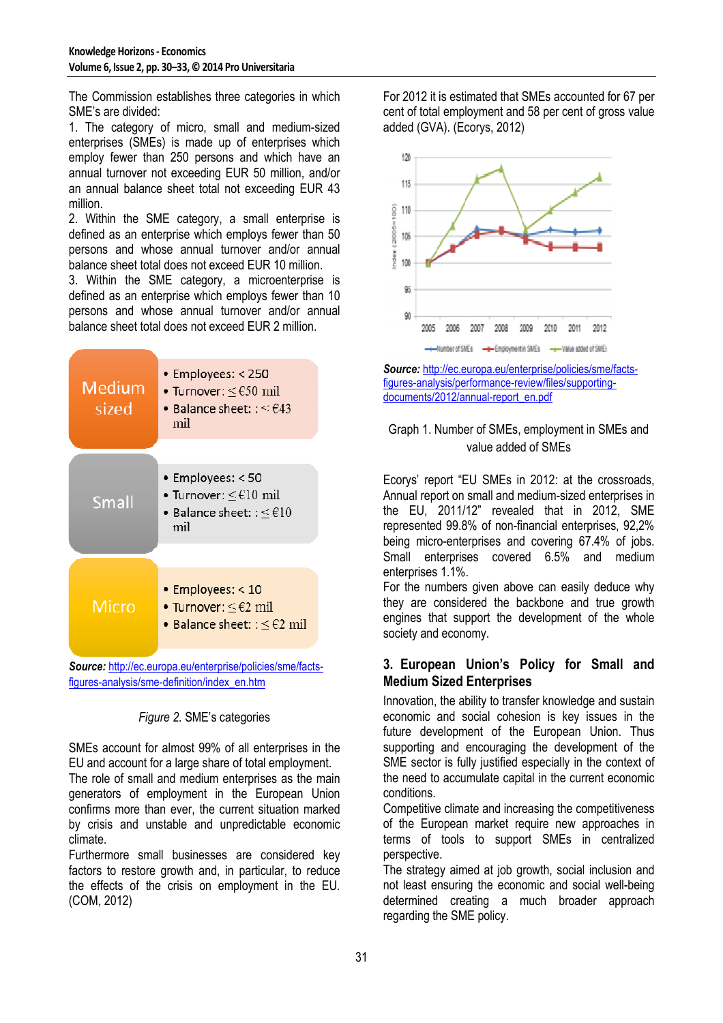The Commission establishes three categories in which SME's are divided:

1. The category of micro, small and medium-sized enterprises (SMEs) is made up of enterprises which employ fewer than 250 persons and which have an annual turnover not exceeding EUR 50 million, and/or an annual balance sheet total not exceeding EUR 43 million.

2. Within the SME category, a small enterprise is defined as an enterprise which employs fewer than 50 persons and whose annual turnover and/or annual balance sheet total does not exceed EUR 10 million.

3. Within the SME category, a microenterprise is defined as an enterprise which employs fewer than 10 persons and whose annual turnover and/or annual balance sheet total does not exceed EUR 2 million.



figures-analysis/sme-definition/index\_en.htm

# *Figure 2.* SME's categories

SMEs account for almost 99% of all enterprises in the EU and account for a large share of total employment. The role of small and medium enterprises as the main generators of employment in the European Union confirms more than ever, the current situation marked by crisis and unstable and unpredictable economic climate.

Furthermore small businesses are considered key factors to restore growth and, in particular, to reduce the effects of the crisis on employment in the EU. (COM, 2012)

For 2012 it is estimated that SMEs accounted for 67 per cent of total employment and 58 per cent of gross value added (GVA). (Ecorys, 2012)



*Source:* http://ec.europa.eu/enterprise/policies/sme/factsfigures-analysis/performance-review/files/supportingdocuments/2012/annual-report\_en.pdf

## Graph 1. Number of SMEs, employment in SMEs and value added of SMEs

Ecorys' report "EU SMEs in 2012: at the crossroads, Annual report on small and medium-sized enterprises in the EU, 2011/12" revealed that in 2012, SME represented 99.8% of non-financial enterprises, 92,2% being micro-enterprises and covering 67.4% of jobs. Small enterprises covered 6.5% and medium enterprises 1.1%.

For the numbers given above can easily deduce why they are considered the backbone and true growth engines that support the development of the whole society and economy.

### **3. European Union's Policy for Small and Medium Sized Enterprises**

Innovation, the ability to transfer knowledge and sustain economic and social cohesion is key issues in the future development of the European Union. Thus supporting and encouraging the development of the SME sector is fully justified especially in the context of the need to accumulate capital in the current economic conditions.

Competitive climate and increasing the competitiveness of the European market require new approaches in terms of tools to support SMEs in centralized perspective.

The strategy aimed at job growth, social inclusion and not least ensuring the economic and social well-being determined creating a much broader approach regarding the SME policy.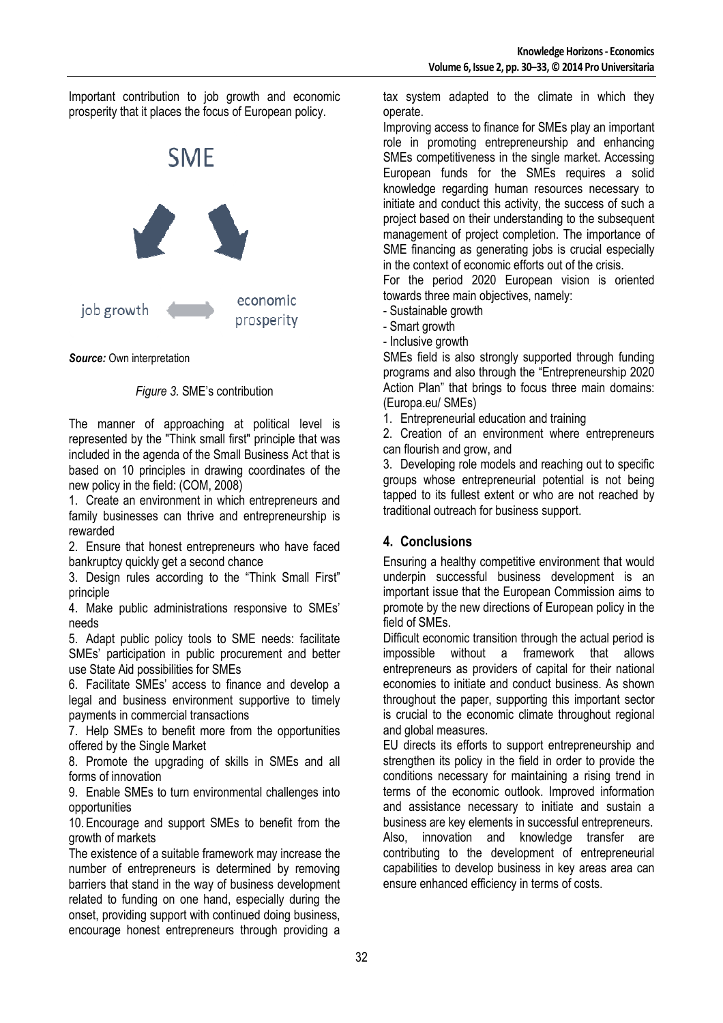Important contribution to job growth and economic prosperity that it places the focus of European policy.



*Source:* Own interpretation

#### *Figure 3.* SME's contribution

The manner of approaching at political level is represented by the "Think small first" principle that was included in the agenda of the Small Business Act that is based on 10 principles in drawing coordinates of the new policy in the field: (COM, 2008)

1. Create an environment in which entrepreneurs and family businesses can thrive and entrepreneurship is rewarded

2. Ensure that honest entrepreneurs who have faced bankruptcy quickly get a second chance

3. Design rules according to the "Think Small First" principle

4. Make public administrations responsive to SMEs' needs

5. Adapt public policy tools to SME needs: facilitate SMEs' participation in public procurement and better use State Aid possibilities for SMEs

6. Facilitate SMEs' access to finance and develop a legal and business environment supportive to timely payments in commercial transactions

7. Help SMEs to benefit more from the opportunities offered by the Single Market

8. Promote the upgrading of skills in SMEs and all forms of innovation

9. Enable SMEs to turn environmental challenges into opportunities

10. Encourage and support SMEs to benefit from the growth of markets

The existence of a suitable framework may increase the number of entrepreneurs is determined by removing barriers that stand in the way of business development related to funding on one hand, especially during the onset, providing support with continued doing business, encourage honest entrepreneurs through providing a tax system adapted to the climate in which they operate.

Improving access to finance for SMEs play an important role in promoting entrepreneurship and enhancing SMEs competitiveness in the single market. Accessing European funds for the SMEs requires a solid knowledge regarding human resources necessary to initiate and conduct this activity, the success of such a project based on their understanding to the subsequent management of project completion. The importance of SME financing as generating jobs is crucial especially in the context of economic efforts out of the crisis.

For the period 2020 European vision is oriented towards three main objectives, namely:

- Sustainable growth

- Smart growth

- Inclusive growth

SMEs field is also strongly supported through funding programs and also through the "Entrepreneurship 2020 Action Plan" that brings to focus three main domains: (Europa.eu/ SMEs)

1. Entrepreneurial education and training

2. Creation of an environment where entrepreneurs can flourish and grow, and

3. Developing role models and reaching out to specific groups whose entrepreneurial potential is not being tapped to its fullest extent or who are not reached by traditional outreach for business support.

# **4. Conclusions**

Ensuring a healthy competitive environment that would underpin successful business development is an important issue that the European Commission aims to promote by the new directions of European policy in the field of SMEs.

Difficult economic transition through the actual period is impossible without a framework that allows entrepreneurs as providers of capital for their national economies to initiate and conduct business. As shown throughout the paper, supporting this important sector is crucial to the economic climate throughout regional and global measures.

EU directs its efforts to support entrepreneurship and strengthen its policy in the field in order to provide the conditions necessary for maintaining a rising trend in terms of the economic outlook. Improved information and assistance necessary to initiate and sustain a business are key elements in successful entrepreneurs. Also, innovation and knowledge transfer are contributing to the development of entrepreneurial capabilities to develop business in key areas area can ensure enhanced efficiency in terms of costs.